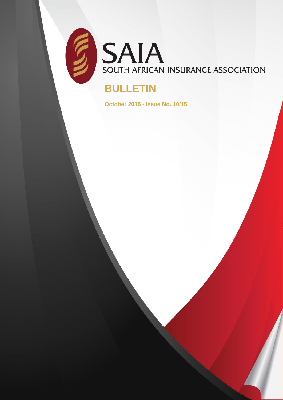

SAIA SOUTH AFRICAN INSURANCE ASSOCIATION

# **BULLETIN**

**October 2015 - Issue No. 10/15**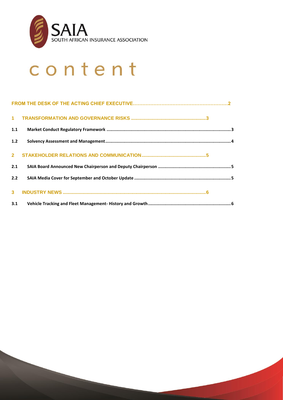

# content

| 1.1   |  |
|-------|--|
| $1.2$ |  |
|       |  |
| 2.1   |  |
| 2.2   |  |
|       |  |
| 3.1   |  |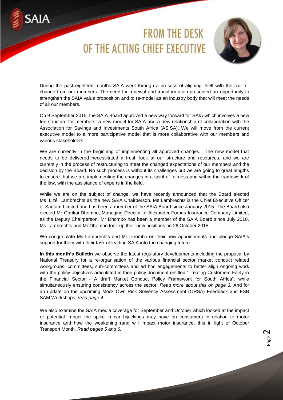# **FROM THE DESK** OF THE ACTING CHIFF EXECUTIVE

SAIA



Page  $\mathbf{\sim}$ 

During the past eighteen months SAIA went through a process of aligning itself with the call for change from our members. The need for renewal and transformation presented an opportunity to strengthen the SAIA value proposition and to re-model as an industry body that will meet the needs of all our members.

On 9 September 2015, the SAIA Board approved a new way forward for SAIA which involves a new fee structure for members, a new model for SAIA and a new relationship of collaboration with the Association for Savings and Investments South Africa (ASISA). We will move from the current executive model to a more participative model that is more collaborative with our members and various stakeholders.

We are currently in the beginning of implementing all approved changes. The new model that needs to be delivered necessitated a fresh look at our structure and resources, and we are currently in the process of restructuring to meet the changed expectations of our members and the decision by the Board. No such process is without its challenges but we are going to great lengths to ensure that we are implementing the changes in a spirit of fairness and within the framework of the law, with the assistance of experts in the field.

While we are on the subject of change, we have recently announced that the Board elected Ms Lizé Lambrechts as the new SAIA Chairperson. Ms Lambrechts is the Chief Executive Officer of Santam Limited and has been a member of the SAIA Board since January 2015. The Board also elected Mr Garikai Dhombo, Managing Director of Alexander Forbes Insurance Company Limited, as the Deputy Chairperson. Mr Dhombo has been a member of the SAIA Board since July 2010. Ms Lambrechts and Mr Dhombo took up their new positions on 26 October 2015.

We congratulate Ms Lambrechts and Mr Dhombo on their new appointments and pledge SAIA's support for them with their task of leading SAIA into the changing future.

**In this month's Bulletin** we observe the latest regulatory developments including the proposal by National Treasury for a re-organisation of the various financial sector market conduct related workgroups, committees, sub-committees and ad hoc engagements to better align ongoing work with the policy objectives articulated in their policy document entitled "Treating Customers Fairly in the Financial Sector - A draft Market Conduct Policy Framework for South Africa", while simultaneously ensuring consistency across the sector. *Read more about this on page 3.* And for an update on the upcoming Mock Own Risk Solvency Assessment (ORSA) Feedback and FSB SAM Workshops, *read page 4.*

We also examine the SAIA media coverage for September and October which looked at the impact or potential impact the spike in car hijackings may have on consumers in relation to motor insurance and how the weakening rand will impact motor insurance, this in light of October Transport Month*. Read pages 5 and 6.*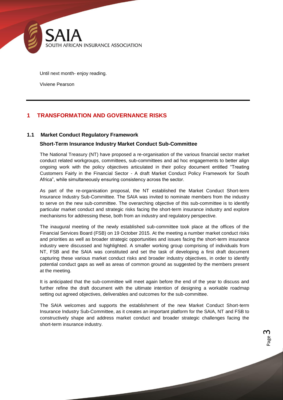

Until next month- enjoy reading.

Viviene Pearson

# <span id="page-3-0"></span>**1 TRANSFORMATION AND GOVERNANCE RISKS**

## <span id="page-3-1"></span>**1.1 Market Conduct Regulatory Framework**

## **Short-Term Insurance Industry Market Conduct Sub-Committee**

The National Treasury (NT) have proposed a re-organisation of the various financial sector market conduct related workgroups, committees, sub-committees and ad hoc engagements to better align ongoing work with the policy objectives articulated in their policy document entitled "Treating Customers Fairly in the Financial Sector - A draft Market Conduct Policy Framework for South Africa", while simultaneously ensuring consistency across the sector.

As part of the re-organisation proposal, the NT established the Market Conduct Short-term Insurance Industry Sub-Committee. The SAIA was invited to nominate members from the industry to serve on the new sub-committee. The overarching objective of this sub-committee is to identify particular market conduct and strategic risks facing the short-term insurance industry and explore mechanisms for addressing these, both from an industry and regulatory perspective.

The inaugural meeting of the newly established sub-committee took place at the offices of the Financial Services Board (FSB) on 19 October 2015. At the meeting a number market conduct risks and priorities as well as broader strategic opportunities and issues facing the short-term insurance industry were discussed and highlighted. A smaller working group comprising of individuals from NT, FSB and the SAIA was constituted and set the task of developing a first draft document capturing these various market conduct risks and broader industry objectives, in order to identify potential conduct gaps as well as areas of common ground as suggested by the members present at the meeting.

It is anticipated that the sub-committee will meet again before the end of the year to discuss and further refine the draft document with the ultimate intention of designing a workable roadmap setting out agreed objectives, deliverables and outcomes for the sub-committee.

The SAIA welcomes and supports the establishment of the new Market Conduct Short-term Insurance Industry Sub-Committee, as it creates an important platform for the SAIA, NT and FSB to constructively shape and address market conduct and broader strategic challenges facing the short-term insurance industry.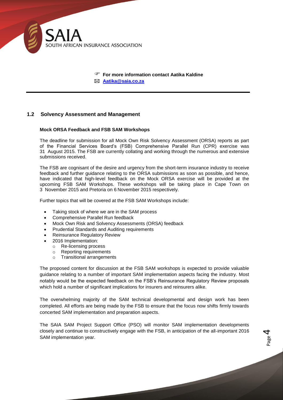

 **For more information contact Aatika Kaldine Aatika@saia.co.za**

## <span id="page-4-0"></span>**1.2 Solvency Assessment and Management**

#### **Mock ORSA Feedback and FSB SAM Workshops**

The deadline for submission for all Mock Own Risk Solvency Assessment (ORSA) reports as part of the Financial Services Board's (FSB) Comprehensive Parallel Run (CPR) exercise was 31 August 2015. The FSB are currently collating and working through the numerous and extensive submissions received.

The FSB are cognisant of the desire and urgency from the short-term insurance industry to receive feedback and further guidance relating to the ORSA submissions as soon as possible, and hence, have indicated that high-level feedback on the Mock ORSA exercise will be provided at the upcoming FSB SAM Workshops. These workshops will be taking place in Cape Town on 3 November 2015 and Pretoria on 6 November 2015 respectively.

Further topics that will be covered at the FSB SAM Workshops include:

- Taking stock of where we are in the SAM process
- Comprehensive Parallel Run feedback
- Mock Own Risk and Solvency Assessments (ORSA) feedback
- Prudential Standards and Auditing requirements
- Reinsurance Regulatory Review
- 2016 Implementation:
	- o Re-licensing process
	- o Reporting requirements
	- o Transitional arrangements

The proposed content for discussion at the FSB SAM workshops is expected to provide valuable guidance relating to a number of important SAM implementation aspects facing the industry. Most notably would be the expected feedback on the FSB's Reinsurance Regulatory Review proposals which hold a number of significant implications for insurers and reinsurers alike.

The overwhelming majority of the SAM technical developmental and design work has been completed. All efforts are being made by the FSB to ensure that the focus now shifts firmly towards concerted SAM implementation and preparation aspects.

The SAIA SAM Project Support Office (PSO) will monitor SAM implementation developments closely and continue to constructively engage with the FSB, in anticipation of the all-important 2016 SAM implementation year.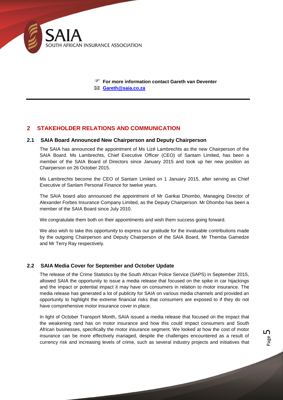

 **For more information contact Gareth van Deventer Gareth@saia.co.za**

# <span id="page-5-0"></span>**2 STAKEHOLDER RELATIONS AND COMMUNICATION**

#### <span id="page-5-1"></span>**2.1 SAIA Board Announced New Chairperson and Deputy Chairperson**

The SAIA has announced the appointment of Ms Lizé Lambrechts as the new Chairperson of the SAIA Board. Ms Lambrechts, Chief Executive Officer (CEO) of Santam Limited, has been a member of the SAIA Board of Directors since January 2015 and took up her new position as Chairperson on 26 October 2015.

Ms Lambrechts become the CEO of Santam Limited on 1 January 2015, after serving as Chief Executive of Sanlam Personal Finance for twelve years.

The SAIA board also announced the appointment of Mr Garikai Dhombo, Managing Director of Alexander Forbes Insurance Company Limited, as the Deputy Chairperson. Mr Dhombo has been a member of the SAIA Board since July 2010.

We congratulate them both on their appointments and wish them success going forward.

We also wish to take this opportunity to express our gratitude for the invaluable contributions made by the outgoing Chairperson and Deputy Chairperson of the SAIA Board, Mr Themba Gamedze and Mr Terry Ray respectively.

# <span id="page-5-2"></span>**2.2 SAIA Media Cover for September and October Update**

The release of the Crime Statistics by the South African Police Service (SAPS) in September 2015, allowed SAIA the opportunity to issue a media release that focused on the spike in car hijackings and the impact or potential impact it may have on consumers in relation to motor insurance. The media release has generated a lot of publicity for SAIA on various media channels and provided an opportunity to highlight the extreme financial risks that consumers are exposed to if they do not have comprehensive motor insurance cover in place.

In light of October Transport Month, SAIA issued a media release that focused on the impact that the weakening rand has on motor insurance and how this could impact consumers and South African businesses, specifically the motor insurance segment. We looked at how the cost of motor insurance can be more effectively managed, despite the challenges encountered as a result of currency risk and increasing levels of crime, such as several industry projects and initiatives that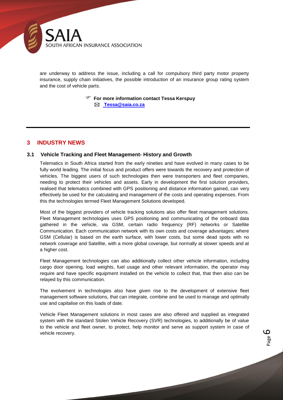

are underway to address the issue, including a call for compulsory third party motor property insurance, supply chain initiatives, the possible introduction of an insurance group rating system and the cost of vehicle parts.

**For more information contact Tessa Kerspuy**

**Tessa@saia.co.za**

# <span id="page-6-0"></span>**3 INDUSTRY NEWS**

#### <span id="page-6-1"></span>**3.1 Vehicle Tracking and Fleet Management- History and Growth**

Telematics in South Africa started from the early nineties and have evolved in many cases to be fully world leading. The initial focus and product offers were towards the recovery and protection of vehicles. The biggest users of such technologies then were transporters and fleet companies, needing to protect their vehicles and assets. Early in development the first solution providers, realised that telematics combined with GPS positioning and distance information gained, can very effectively be used for the calculating and management of the costs and operating expenses. From this the technologies termed Fleet Management Solutions developed.

Most of the biggest providers of vehicle tracking solutions also offer fleet management solutions. Fleet Management technologies uses GPS positioning and communicating of the onboard data gathered in the vehicle, via GSM, certain radio frequency (RF) networks or Satellite Communication. Each communication network with its own costs and coverage advantages; where GSM (Cellular) is based on the earth surface, with lower costs, but some dead spots with no network coverage and Satellite, with a more global coverage, but normally at slower speeds and at a higher cost.

Fleet Management technologies can also additionally collect other vehicle information, including cargo door opening, load weights, fuel usage and other relevant information, the operator may require and have specific equipment installed on the vehicle to collect that, that then also can be relayed by this communication.

The evolvement in technologies also have given rise to the development of extensive fleet management software solutions, that can integrate, combine and be used to manage and optimally use and capitalise on this loads of date.

Vehicle Fleet Management solutions in most cases are also offered and supplied as integrated system with the standard Stolen Vehicle Recovery (SVR) technologies, to additionally be of value to the vehicle and fleet owner, to protect, help monitor and serve as support system in case of vehicle recovery.